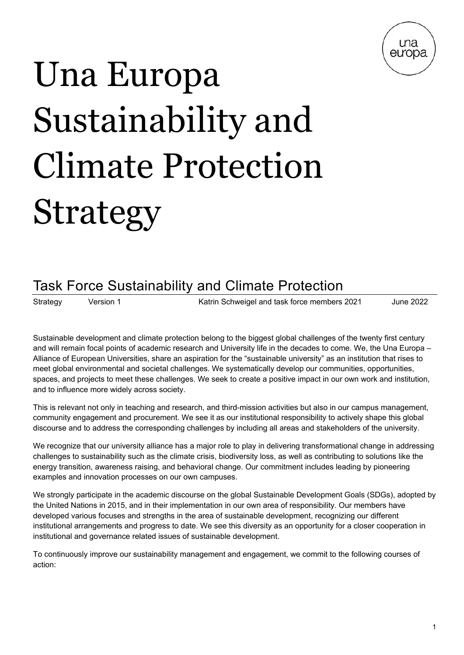

# Una Europa Sustainability and Climate Protection Strategy

## Task Force Sustainability and Climate Protection

Strategy Version 1 Katrin Schweigel and task force members 2021 June 2022

Sustainable development and climate protection belong to the biggest global challenges of the twenty first century and will remain focal points of academic research and University life in the decades to come. We, the Una Europa – Alliance of European Universities, share an aspiration for the "sustainable university" as an institution that rises to meet global environmental and societal challenges. We systematically develop our communities, opportunities, spaces, and projects to meet these challenges. We seek to create a positive impact in our own work and institution, and to influence more widely across society.

This is relevant not only in teaching and research, and third-mission activities but also in our campus management, community engagement and procurement. We see it as our institutional responsibility to actively shape this global discourse and to address the corresponding challenges by including all areas and stakeholders of the university.

We recognize that our university alliance has a major role to play in delivering transformational change in addressing challenges to sustainability such as the climate crisis, biodiversity loss, as well as contributing to solutions like the energy transition, awareness raising, and behavioral change. Our commitment includes leading by pioneering examples and innovation processes on our own campuses.

We strongly participate in the academic discourse on the global Sustainable Development Goals (SDGs), adopted by the United Nations in 2015, and in their implementation in our own area of responsibility. Our members have developed various focuses and strengths in the area of sustainable development, recognizing our different institutional arrangements and progress to date. We see this diversity as an opportunity for a closer cooperation in institutional and governance related issues of sustainable development.

To continuously improve our sustainability management and engagement, we commit to the following courses of action: